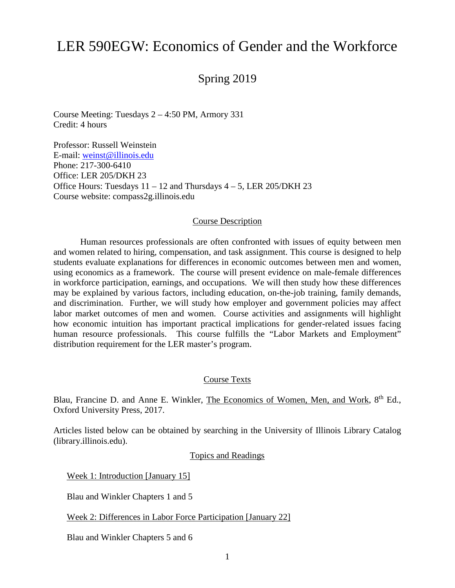# LER 590EGW: Economics of Gender and the Workforce

# Spring 2019

Course Meeting: Tuesdays 2 – 4:50 PM, Armory 331 Credit: 4 hours

Professor: Russell Weinstein E-mail: [weinst@illinois.edu](mailto:weinst@illinois.edu) Phone: 217-300-6410 Office: LER 205/DKH 23 Office Hours: Tuesdays  $11 - 12$  and Thursdays  $4 - 5$ , LER 205/DKH 23 Course website: compass2g.illinois.edu

#### Course Description

Human resources professionals are often confronted with issues of equity between men and women related to hiring, compensation, and task assignment. This course is designed to help students evaluate explanations for differences in economic outcomes between men and women, using economics as a framework. The course will present evidence on male-female differences in workforce participation, earnings, and occupations. We will then study how these differences may be explained by various factors, including education, on-the-job training, family demands, and discrimination. Further, we will study how employer and government policies may affect labor market outcomes of men and women. Course activities and assignments will highlight how economic intuition has important practical implications for gender-related issues facing human resource professionals. This course fulfills the "Labor Markets and Employment" distribution requirement for the LER master's program.

#### Course Texts

Blau, Francine D. and Anne E. Winkler, The Economics of Women, Men, and Work, 8<sup>th</sup> Ed., Oxford University Press, 2017.

Articles listed below can be obtained by searching in the University of Illinois Library Catalog (library.illinois.edu).

Topics and Readings

Week 1: Introduction [January 15]

Blau and Winkler Chapters 1 and 5

Week 2: Differences in Labor Force Participation [January 22]

Blau and Winkler Chapters 5 and 6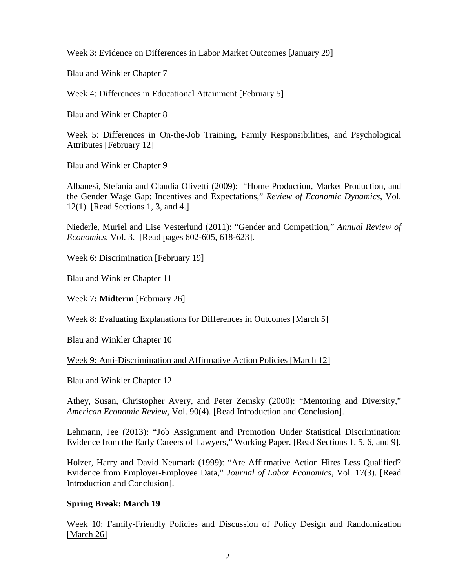## Week 3: Evidence on Differences in Labor Market Outcomes [January 29]

Blau and Winkler Chapter 7

Week 4: Differences in Educational Attainment [February 5]

Blau and Winkler Chapter 8

Week 5: Differences in On-the-Job Training, Family Responsibilities, and Psychological Attributes [February 12]

Blau and Winkler Chapter 9

Albanesi, Stefania and Claudia Olivetti (2009): "Home Production, Market Production, and the Gender Wage Gap: Incentives and Expectations," *Review of Economic Dynamics*, Vol. 12(1). [Read Sections 1, 3, and 4.]

Niederle, Muriel and Lise Vesterlund (2011): "Gender and Competition," *Annual Review of Economics*, Vol. 3. [Read pages 602-605, 618-623].

Week 6: Discrimination [February 19]

Blau and Winkler Chapter 11

Week 7**: Midterm** [February 26]

Week 8: Evaluating Explanations for Differences in Outcomes [March 5]

Blau and Winkler Chapter 10

Week 9: Anti-Discrimination and Affirmative Action Policies [March 12]

Blau and Winkler Chapter 12

Athey, Susan, Christopher Avery, and Peter Zemsky (2000): "Mentoring and Diversity," *American Economic Review*, Vol. 90(4). [Read Introduction and Conclusion].

Lehmann, Jee (2013): "Job Assignment and Promotion Under Statistical Discrimination: Evidence from the Early Careers of Lawyers," Working Paper. [Read Sections 1, 5, 6, and 9].

Holzer, Harry and David Neumark (1999): "Are Affirmative Action Hires Less Qualified? Evidence from Employer-Employee Data," *Journal of Labor Economics*, Vol. 17(3). [Read Introduction and Conclusion].

## **Spring Break: March 19**

Week 10: Family-Friendly Policies and Discussion of Policy Design and Randomization [March 26]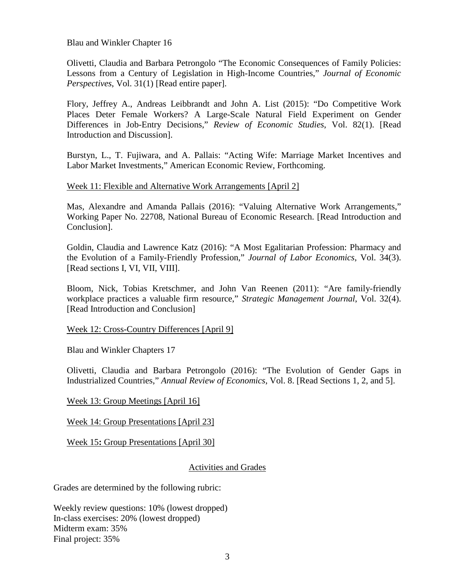Blau and Winkler Chapter 16

Olivetti, Claudia and Barbara Petrongolo "The Economic Consequences of Family Policies: Lessons from a Century of Legislation in High-Income Countries," *Journal of Economic Perspectives*, Vol. 31(1) [Read entire paper].

Flory, Jeffrey A., Andreas Leibbrandt and John A. List (2015): "Do Competitive Work Places Deter Female Workers? A Large-Scale Natural Field Experiment on Gender Differences in Job-Entry Decisions," *Review of Economic Studies*, Vol. 82(1). [Read Introduction and Discussion].

Burstyn, L., T. Fujiwara, and A. Pallais: "Acting Wife: Marriage Market Incentives and Labor Market Investments," American Economic Review, Forthcoming.

#### Week 11: Flexible and Alternative Work Arrangements [April 2]

Mas, Alexandre and Amanda Pallais (2016): "Valuing Alternative Work Arrangements," Working Paper No. 22708, National Bureau of Economic Research. [Read Introduction and Conclusion].

Goldin, Claudia and Lawrence Katz (2016): "A Most Egalitarian Profession: Pharmacy and the Evolution of a Family-Friendly Profession," *Journal of Labor Economics*, Vol. 34(3). [Read sections I, VI, VII, VIII].

Bloom, Nick, Tobias Kretschmer, and John Van Reenen (2011): "Are family-friendly workplace practices a valuable firm resource," *Strategic Management Journal*, Vol. 32(4). [Read Introduction and Conclusion]

Week 12: Cross-Country Differences [April 9]

Blau and Winkler Chapters 17

Olivetti, Claudia and Barbara Petrongolo (2016): "The Evolution of Gender Gaps in Industrialized Countries," *Annual Review of Economics*, Vol. 8. [Read Sections 1, 2, and 5].

Week 13: Group Meetings [April 16]

Week 14: Group Presentations [April 23]

Week 15**:** Group Presentations [April 30]

#### Activities and Grades

Grades are determined by the following rubric:

Weekly review questions: 10% (lowest dropped) In-class exercises: 20% (lowest dropped) Midterm exam: 35% Final project: 35%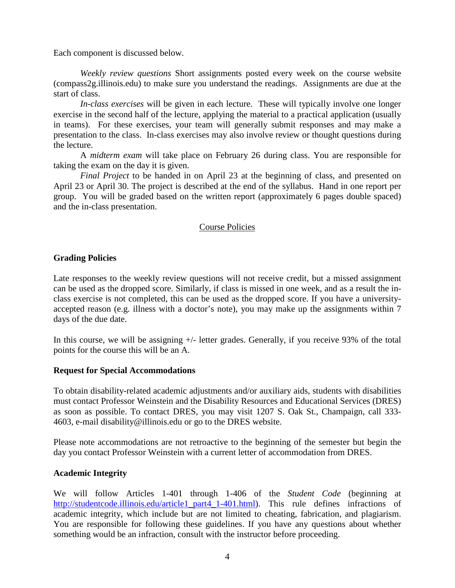Each component is discussed below.

*Weekly review questions* Short assignments posted every week on the course website (compass2g.illinois.edu) to make sure you understand the readings. Assignments are due at the start of class.

*In-class exercises* will be given in each lecture. These will typically involve one longer exercise in the second half of the lecture, applying the material to a practical application (usually in teams). For these exercises, your team will generally submit responses and may make a presentation to the class. In-class exercises may also involve review or thought questions during the lecture.

A *midterm exam* will take place on February 26 during class. You are responsible for taking the exam on the day it is given.

*Final Project* to be handed in on April 23 at the beginning of class, and presented on April 23 or April 30. The project is described at the end of the syllabus. Hand in one report per group. You will be graded based on the written report (approximately 6 pages double spaced) and the in-class presentation.

#### Course Policies

#### **Grading Policies**

Late responses to the weekly review questions will not receive credit, but a missed assignment can be used as the dropped score. Similarly, if class is missed in one week, and as a result the inclass exercise is not completed, this can be used as the dropped score. If you have a universityaccepted reason (e.g. illness with a doctor's note), you may make up the assignments within 7 days of the due date.

In this course, we will be assigning +/- letter grades. Generally, if you receive 93% of the total points for the course this will be an A.

#### **Request for Special Accommodations**

To obtain disability-related academic adjustments and/or auxiliary aids, students with disabilities must contact Professor Weinstein and the Disability Resources and Educational Services (DRES) as soon as possible. To contact DRES, you may visit 1207 S. Oak St., Champaign, call 333- 4603, e-mail [disability@illinois.edu](mailto:disability@uiuc.edu) or go to the [DRES website.](http://disability.illinois.edu/)

Please note accommodations are not retroactive to the beginning of the semester but begin the day you contact Professor Weinstein with a current letter of accommodation from DRES.

#### **Academic Integrity**

We will follow Articles 1-401 through 1-406 of the *Student Code* (beginning at [http://studentcode.illinois.edu/article1\\_part4\\_1-401.html\)](http://studentcode.illinois.edu/article1_part4_1-401.html). This rule defines infractions of academic integrity, which include but are not limited to cheating, fabrication, and plagiarism. You are responsible for following these guidelines. If you have any questions about whether something would be an infraction, consult with the instructor before proceeding.